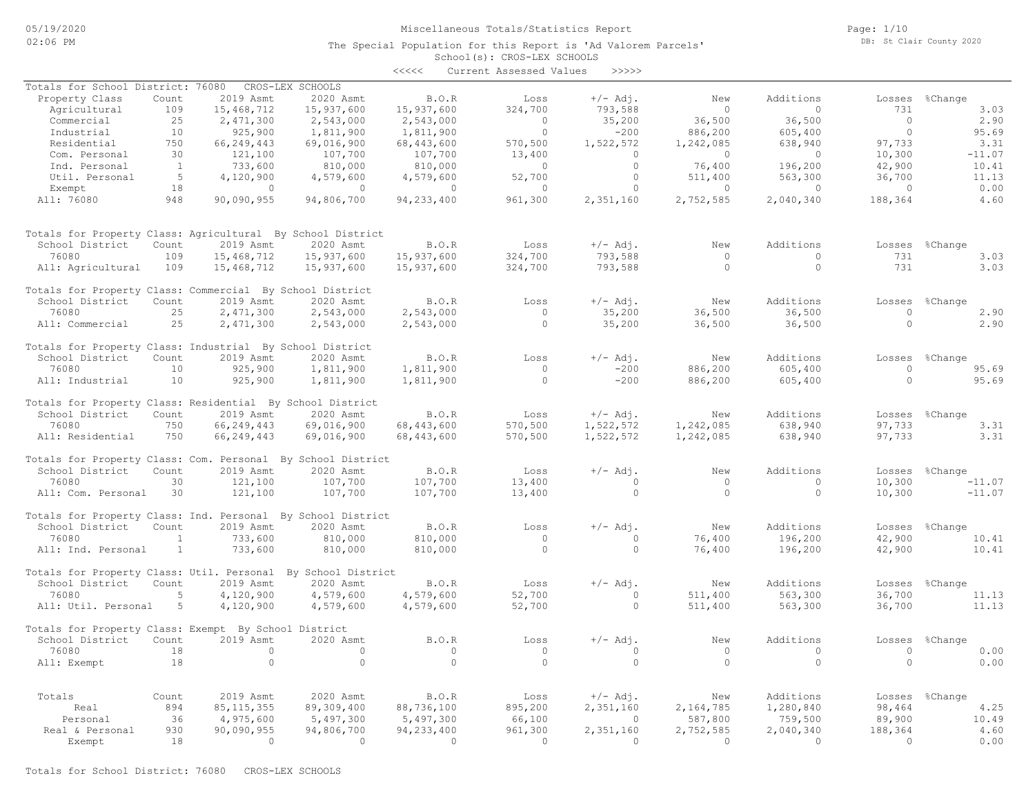Page: 1/10 DB: St Clair County 2020

### School(s): CROS-LEX SCHOOLS The Special Population for this Report is 'Ad Valorem Parcels'

|                                                              |              |                        |                  | $\prec\prec\prec\prec\prec$ | Current Assessed Values | >>>>>      |                  |           |                   |                 |
|--------------------------------------------------------------|--------------|------------------------|------------------|-----------------------------|-------------------------|------------|------------------|-----------|-------------------|-----------------|
| Totals for School District: 76080                            |              |                        | CROS-LEX SCHOOLS |                             |                         |            |                  |           |                   |                 |
| Property Class                                               | Count        | 2019 Asmt              | 2020 Asmt        | B.O.R                       | Loss                    | $+/-$ Adj. | New              | Additions | Losses            | %Change         |
| Agricultural                                                 | 109          | 15,468,712             | 15,937,600       | 15,937,600                  | 324,700                 | 793,588    | $\circ$          | $\circ$   | 731               | 3.03            |
|                                                              | 25           |                        | 2,543,000        | 2,543,000                   | $\circ$                 | 35,200     | 36,500           | 36,500    | $\circ$           | 2.90            |
| Commercial                                                   | 10           | 2,471,300              |                  |                             | $\circ$                 |            |                  |           | $\circ$           |                 |
| Industrial                                                   |              | 925,900                | 1,811,900        | 1,811,900                   |                         | $-200$     | 886,200          | 605,400   |                   | 95.69           |
| Residential                                                  | 750          | 66,249,443             | 69,016,900       | 68, 443, 600                | 570,500                 | 1,522,572  | 1,242,085        | 638,940   | 97,733            | 3.31            |
| Com. Personal                                                | 30           | 121,100                | 107,700          | 107,700                     | 13,400                  | $\circ$    | $\circ$          | $\circ$   | 10,300            | $-11.07$        |
| Ind. Personal                                                | $\mathbf{1}$ | 733,600                | 810,000          | 810,000                     | $\circ$                 | $\circ$    | 76,400           | 196,200   | 42,900            | 10.41           |
| Util. Personal                                               | 5            | 4,120,900              | 4,579,600        | 4,579,600                   | 52,700                  | $\circ$    | 511,400          | 563,300   | 36,700            | 11.13           |
| Exempt                                                       | 18           | $\circ$                | $\circ$          | $\circ$                     | $\circ$                 | $\circ$    | $\circ$          | $\circ$   | $\circ$           | 0.00            |
| All: 76080                                                   | 948          | 90,090,955             | 94,806,700       | 94, 233, 400                | 961,300                 | 2,351,160  | 2,752,585        | 2,040,340 | 188,364           | 4.60            |
| Totals for Property Class: Agricultural By School District   |              |                        |                  |                             |                         |            |                  |           |                   |                 |
| School District                                              | Count        | 2019 Asmt              | 2020 Asmt        | B.O.R                       | Loss                    | $+/-$ Adj. | New              | Additions | Losses            | %Change         |
| 76080                                                        | 109          | 15,468,712             | 15,937,600       | 15,937,600                  | 324,700                 | 793,588    | $\circ$          | $\circ$   | 731               | 3.03            |
| All: Agricultural                                            | 109          | 15,468,712             | 15,937,600       | 15,937,600                  | 324,700                 | 793,588    | $\circ$          | $\circ$   | 731               | 3.03            |
| Totals for Property Class: Commercial By School District     |              |                        |                  |                             |                         |            |                  |           |                   |                 |
| School District                                              | Count        | 2019 Asmt              | 2020 Asmt        | B.O.R                       | Loss                    | $+/-$ Adj. | New              | Additions |                   |                 |
| 76080                                                        | 25           |                        | 2,543,000        |                             | $\circ$                 | 35,200     |                  | 36,500    | Losses<br>$\circ$ | %Change<br>2.90 |
| All: Commercial                                              | 25           | 2,471,300<br>2,471,300 | 2,543,000        | 2,543,000<br>2,543,000      | $\circ$                 | 35,200     | 36,500<br>36,500 | 36,500    | $\Omega$          | 2.90            |
|                                                              |              |                        |                  |                             |                         |            |                  |           |                   |                 |
| Totals for Property Class: Industrial By School District     |              |                        |                  |                             |                         |            |                  |           |                   |                 |
| School District                                              | Count        | 2019 Asmt              | 2020 Asmt        | B.O.R                       | Loss                    | $+/-$ Adj. | New              | Additions | Losses            | %Change         |
| 76080                                                        | 10           | 925,900                | 1,811,900        | 1,811,900                   | $\circ$                 | $-200$     | 886,200          | 605,400   | $\circ$           | 95.69           |
| All: Industrial                                              | 10           | 925,900                | 1,811,900        | 1,811,900                   | $\circ$                 | $-200$     | 886,200          | 605,400   | $\mathbf{0}$      | 95.69           |
| Totals for Property Class: Residential By School District    |              |                        |                  |                             |                         |            |                  |           |                   |                 |
| School District                                              | Count        | 2019 Asmt              | 2020 Asmt        | B.O.R                       | Loss                    | $+/-$ Adj. | New              | Additions | Losses            | %Change         |
| 76080                                                        | 750          | 66,249,443             | 69,016,900       | 68, 443, 600                | 570,500                 | 1,522,572  | 1,242,085        | 638,940   | 97,733            | 3.31            |
| All: Residential                                             | 750          | 66,249,443             | 69,016,900       | 68,443,600                  | 570,500                 | 1,522,572  | 1,242,085        | 638,940   | 97,733            | 3.31            |
|                                                              |              |                        |                  |                             |                         |            |                  |           |                   |                 |
| Totals for Property Class: Com. Personal By School District  |              |                        |                  |                             |                         |            |                  |           |                   |                 |
| School District                                              | Count        | 2019 Asmt              | 2020 Asmt        | B.O.R                       | Loss                    | $+/-$ Adj. | New              | Additions | Losses            | %Change         |
| 76080                                                        | 30           | 121,100                | 107,700          | 107,700                     | 13,400                  | $\circ$    | $\circ$          | $\circ$   | 10,300            | $-11.07$        |
| All: Com. Personal                                           | 30           | 121,100                | 107,700          | 107,700                     | 13,400                  | $\circ$    | $\circ$          | $\circ$   | 10,300            | $-11.07$        |
| Totals for Property Class: Ind. Personal By School District  |              |                        |                  |                             |                         |            |                  |           |                   |                 |
| School District                                              | Count        | 2019 Asmt              | 2020 Asmt        | B.O.R                       | Loss                    | $+/-$ Adj. | New              | Additions | Losses            | %Change         |
| 76080                                                        | 1            | 733,600                | 810,000          | 810,000                     | $\circ$                 | $\circ$    | 76,400           | 196,200   | 42,900            | 10.41           |
| All: Ind. Personal                                           | $\mathbf{1}$ | 733,600                | 810,000          | 810,000                     | $\circ$                 | $\circ$    | 76,400           | 196,200   | 42,900            | 10.41           |
| Totals for Property Class: Util. Personal By School District |              |                        |                  |                             |                         |            |                  |           |                   |                 |
| School District                                              | Count        | 2019 Asmt              | 2020 Asmt        | B.O.R                       | Loss                    | $+/-$ Adj. | New              | Additions | Losses            | %Change         |
| 76080                                                        | 5            | 4,120,900              | 4,579,600        | 4,579,600                   | 52,700                  | $\circ$    | 511,400          | 563,300   | 36,700            | 11.13           |
| All: Util. Personal                                          | - 5          | 4,120,900              | 4,579,600        | 4,579,600                   | 52,700                  | $\circ$    | 511,400          | 563,300   | 36,700            | 11.13           |
| Totals for Property Class: Exempt By School District         |              |                        |                  |                             |                         |            |                  |           |                   |                 |
| School District                                              | Count        | 2019 Asmt              | 2020 Asmt        | B.O.R                       | Loss                    | $+/-$ Adj. | New              | Additions |                   | Losses %Change  |
| 76080                                                        | 18           | $\cup$                 | $\cup$           | $\circ$                     | $\circ$                 | $\circ$    | $\cup$           | $\circ$   | $\cup$            | 0.00            |
| All: Exempt                                                  | 18           | $\circ$                | $\circ$          | $\circ$                     | $\circ$                 | $\circ$    | $\circ$          | $\circ$   | $\circ$           | 0.00            |
|                                                              |              |                        |                  |                             |                         |            |                  |           |                   |                 |
| Totals                                                       | Count        | 2019 Asmt              | 2020 Asmt        | B.O.R                       | Loss                    | $+/-$ Adj. | New              | Additions | Losses            | %Change         |
| Real                                                         | 894          | 85, 115, 355           | 89,309,400       | 88,736,100                  | 895,200                 | 2,351,160  | 2,164,785        | 1,280,840 | 98,464            | 4.25            |
| Personal                                                     | 36           | 4,975,600              | 5,497,300        | 5,497,300                   | 66,100                  | $\circ$    | 587,800          | 759,500   | 89,900            | 10.49           |
| Real & Personal                                              | 930          | 90,090,955             | 94,806,700       | 94,233,400                  | 961,300                 | 2,351,160  | 2,752,585        | 2,040,340 | 188,364           | 4.60            |
| Exempt                                                       | 18           | $\circ$                | $\circ$          | $\circ$                     | $\circ$                 | $\circ$    | $\circ$          | $\circ$   | $\mathbf{0}$      | 0.00            |
|                                                              |              |                        |                  |                             |                         |            |                  |           |                   |                 |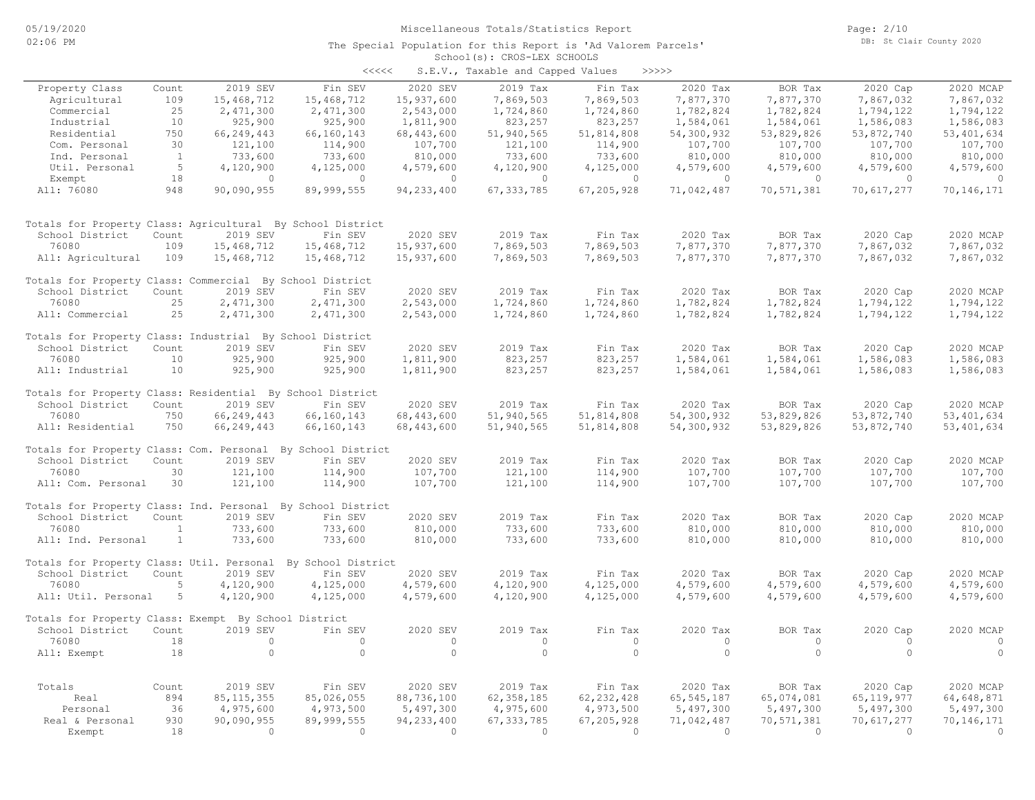| <<<< | S.E.V., Taxable and Capped Values |  |  |  | >>>>> |
|------|-----------------------------------|--|--|--|-------|
|------|-----------------------------------|--|--|--|-------|

|                                                             |              |              |                    |              | $5.2.77$ candidate and capped $0.2200$ |              |              |            |                          |              |
|-------------------------------------------------------------|--------------|--------------|--------------------|--------------|----------------------------------------|--------------|--------------|------------|--------------------------|--------------|
| Property Class                                              | Count        | 2019 SEV     | Fin SEV            | 2020 SEV     | 2019 Tax                               | Fin Tax      | 2020 Tax     | BOR Tax    | 2020 Cap                 | 2020 MCAP    |
| Agricultural                                                | 109          | 15,468,712   | 15,468,712         | 15,937,600   | 7,869,503                              | 7,869,503    | 7,877,370    | 7,877,370  | 7,867,032                | 7,867,032    |
| Commercial                                                  | 25           | 2,471,300    | 2,471,300          | 2,543,000    | 1,724,860                              | 1,724,860    | 1,782,824    | 1,782,824  | 1,794,122                | 1,794,122    |
| Industrial                                                  | 10           | 925,900      | 925,900            | 1,811,900    | 823,257                                | 823,257      | 1,584,061    | 1,584,061  | 1,586,083                | 1,586,083    |
| Residential                                                 | 750          | 66,249,443   | 66,160,143         | 68, 443, 600 | 51,940,565                             | 51,814,808   | 54,300,932   | 53,829,826 | 53,872,740               | 53, 401, 634 |
| Com. Personal                                               | 30           | 121,100      | 114,900            | 107,700      | 121,100                                | 114,900      | 107,700      | 107,700    | 107,700                  | 107,700      |
| Ind. Personal                                               | $\mathbf{1}$ | 733,600      | 733,600            | 810,000      | 733,600                                | 733,600      | 810,000      | 810,000    | 810,000                  | 810,000      |
| Util. Personal                                              | 5            | 4,120,900    | 4,125,000          | 4,579,600    | 4,120,900                              | 4,125,000    | 4,579,600    | 4,579,600  | 4,579,600                | 4,579,600    |
| Exempt                                                      | 18           | $\circ$      | $\circ$            | $\circ$      | $\circ$                                | $\circ$      | $\circ$      | $\circ$    | $\circ$                  | $\circ$      |
| All: 76080                                                  | 948          | 90,090,955   | 89,999,555         | 94, 233, 400 | 67, 333, 785                           | 67,205,928   | 71,042,487   | 70,571,381 | 70,617,277               | 70,146,171   |
| Totals for Property Class: Agricultural By School District  |              |              |                    |              |                                        |              |              |            |                          |              |
| School District                                             | Count        | 2019 SEV     | Fin SEV            | 2020 SEV     | 2019 Tax                               | Fin Tax      | 2020 Tax     | BOR Tax    | 2020 Cap                 | 2020 MCAP    |
| 76080                                                       | 109          | 15,468,712   | 15,468,712         | 15,937,600   | 7,869,503                              | 7,869,503    | 7,877,370    | 7,877,370  | 7,867,032                | 7,867,032    |
| All: Agricultural                                           | 109          | 15,468,712   | 15,468,712         | 15,937,600   | 7,869,503                              | 7,869,503    | 7,877,370    | 7,877,370  | 7,867,032                | 7,867,032    |
| Totals for Property Class: Commercial By School District    |              |              |                    |              |                                        |              |              |            |                          |              |
| School District                                             | Count        | 2019 SEV     | Fin SEV            | 2020 SEV     | 2019 Tax                               | Fin Tax      | 2020 Tax     | BOR Tax    | 2020 Cap                 | 2020 MCAP    |
| 76080                                                       | 25           | 2,471,300    | 2,471,300          | 2,543,000    | 1,724,860                              | 1,724,860    | 1,782,824    | 1,782,824  | 1,794,122                | 1,794,122    |
| All: Commercial                                             | 25           | 2,471,300    | 2,471,300          | 2,543,000    | 1,724,860                              | 1,724,860    | 1,782,824    | 1,782,824  | 1,794,122                | 1,794,122    |
| Totals for Property Class: Industrial By School District    |              |              |                    |              |                                        |              |              |            |                          |              |
| School District                                             | Count        | 2019 SEV     | Fin SEV            | 2020 SEV     | 2019 Tax                               | Fin Tax      | 2020 Tax     | BOR Tax    | 2020 Cap                 | 2020 MCAP    |
| 76080                                                       | 10           | 925,900      | 925,900            | 1,811,900    | 823,257                                | 823,257      | 1,584,061    | 1,584,061  | 1,586,083                | 1,586,083    |
| All: Industrial                                             | 10           | 925,900      | 925,900            | 1,811,900    | 823,257                                | 823,257      | 1,584,061    | 1,584,061  | 1,586,083                | 1,586,083    |
| Totals for Property Class: Residential By School District   |              |              |                    |              |                                        |              |              |            |                          |              |
| School District                                             | Count        | 2019 SEV     | Fin SEV            | 2020 SEV     | 2019 Tax                               | Fin Tax      | 2020 Tax     | BOR Tax    | 2020 Cap                 | 2020 MCAP    |
| 76080                                                       | 750          | 66,249,443   | 66,160,143         | 68,443,600   | 51,940,565                             | 51,814,808   | 54,300,932   | 53,829,826 | 53,872,740               | 53, 401, 634 |
| All: Residential                                            | 750          | 66, 249, 443 | 66,160,143         | 68, 443, 600 | 51,940,565                             | 51,814,808   | 54,300,932   | 53,829,826 | 53,872,740               | 53, 401, 634 |
| Totals for Property Class: Com. Personal By School District |              |              |                    |              |                                        |              |              |            |                          |              |
| School District                                             | Count        | 2019 SEV     | Fin SEV            | 2020 SEV     | 2019 Tax                               | Fin Tax      | 2020 Tax     | BOR Tax    | 2020 Cap                 | 2020 MCAP    |
| 76080                                                       | 30           | 121,100      | 114,900            | 107,700      | 121,100                                | 114,900      | 107,700      | 107,700    | 107,700                  | 107,700      |
| All: Com. Personal                                          | 30           | 121,100      | 114,900            | 107,700      | 121,100                                | 114,900      | 107,700      | 107,700    | 107,700                  | 107,700      |
| Totals for Property Class: Ind. Personal By School District |              |              |                    |              |                                        |              |              |            |                          |              |
| School District                                             | Count        | 2019 SEV     | Fin SEV            | 2020 SEV     | 2019 Tax                               | Fin Tax      | 2020 Tax     | BOR Tax    | 2020 Cap                 | 2020 MCAP    |
| 76080                                                       | $\mathbf{1}$ | 733,600      | 733,600            | 810,000      | 733,600                                | 733,600      | 810,000      | 810,000    | 810,000                  | 810,000      |
| All: Ind. Personal                                          | 1            | 733,600      | 733,600            | 810,000      | 733,600                                | 733,600      | 810,000      | 810,000    | 810,000                  | 810,000      |
| Totals for Property Class: Util. Personal                   |              |              | By School District |              |                                        |              |              |            |                          |              |
| School District                                             | Count        | 2019 SEV     | Fin SEV            | 2020 SEV     | 2019 Tax                               | Fin Tax      | 2020 Tax     | BOR Tax    | 2020 Cap                 | 2020 MCAP    |
| 76080                                                       | 5            | 4,120,900    | 4,125,000          | 4,579,600    | 4,120,900                              | 4,125,000    | 4,579,600    | 4,579,600  | 4,579,600                | 4,579,600    |
| All: Util. Personal                                         | 5            | 4,120,900    | 4,125,000          | 4,579,600    | 4,120,900                              | 4,125,000    | 4,579,600    | 4,579,600  | 4,579,600                | 4,579,600    |
| Totals for Property Class: Exempt By School District        |              |              |                    |              |                                        |              |              |            |                          |              |
| School District                                             | Count        | 2019 SEV     | Fin SEV            | 2020 SEV     | 2019 Tax                               | Fin Tax      | 2020 Tax     | BOR Tax    | 2020 Cap                 | 2020 MCAP    |
| 76080                                                       | 18           | $\circ$      | $\circ$            | $\circ$      | $\circ$                                | $\circ$      | $\circ$      | $\circ$    | $\circ$                  | $\circ$      |
| All: Exempt                                                 | 18           | $\circ$      | $\circ$            | $\circ$      | $\circ$                                | $\circ$      | $\circ$      | $\circ$    | $\circ$                  | $\circ$      |
| Totals                                                      | Count        | 2019 SEV     | Fin SEV            | 2020 SEV     | 2019 Tax                               | Fin Tax      | 2020 Tax     | BOR Tax    |                          | 2020 MCAP    |
| Real                                                        | 894          | 85, 115, 355 | 85,026,055         | 88,736,100   | 62, 358, 185                           | 62, 232, 428 | 65, 545, 187 | 65,074,081 | 2020 Cap<br>65, 119, 977 | 64,648,871   |
| Personal                                                    | 36           | 4,975,600    | 4,973,500          | 5,497,300    | 4,975,600                              | 4,973,500    | 5,497,300    | 5,497,300  | 5,497,300                | 5,497,300    |
| Real & Personal                                             | 930          | 90,090,955   | 89,999,555         | 94, 233, 400 | 67, 333, 785                           | 67,205,928   | 71,042,487   | 70,571,381 | 70,617,277               | 70,146,171   |
| Exempt                                                      | 18           | $\Omega$     | $\overline{0}$     | $\Omega$     | $\Omega$                               | $\Omega$     | $\Omega$     | $\Omega$   | $\Omega$                 | $\circ$      |
|                                                             |              |              |                    |              |                                        |              |              |            |                          |              |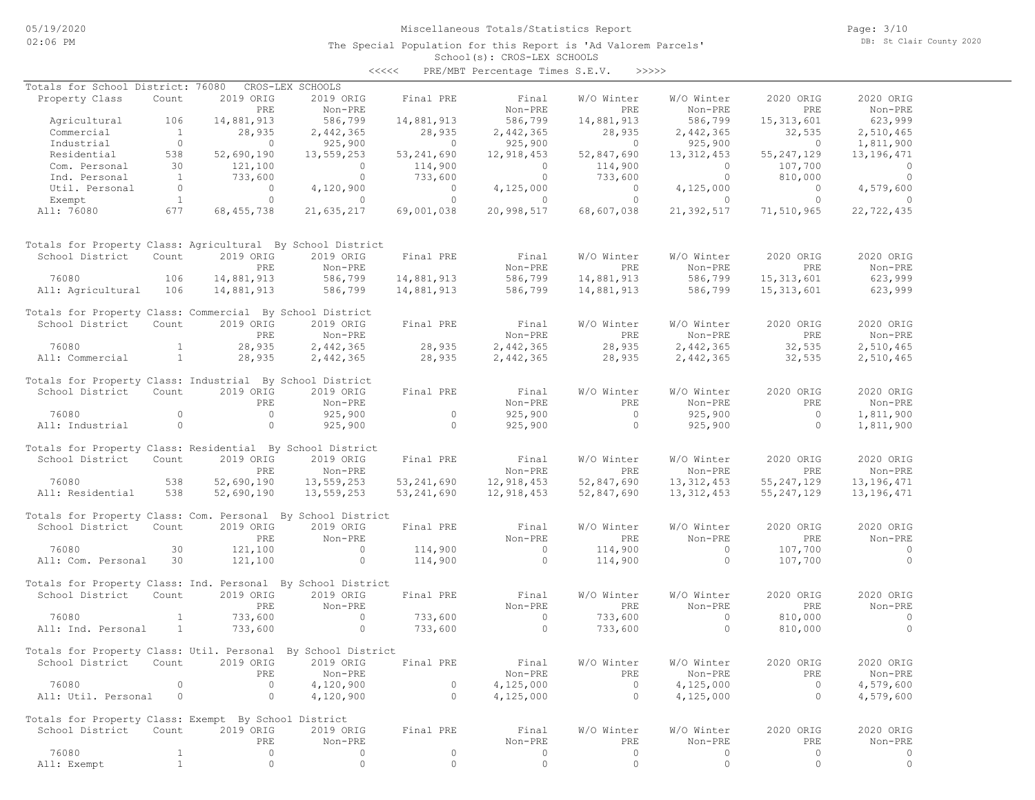The Special Population for this Report is 'Ad Valorem Parcels'

Page: 3/10 DB: St Clair County 2020

#### School(s): CROS-LEX SCHOOLS <<<<< PRE/MBT Percentage Times S.E.V. >>>>>

| Totals for School District: 76080                            |                |                | CROS-LEX SCHOOLS     |                                       |                |                  |                |                |                |
|--------------------------------------------------------------|----------------|----------------|----------------------|---------------------------------------|----------------|------------------|----------------|----------------|----------------|
| Property Class                                               | Count          | 2019 ORIG      | 2019 ORIG            | Final PRE                             | Final          | W/O Winter       | W/O Winter     | 2020 ORIG      | 2020 ORIG      |
|                                                              |                | PRE            | Non-PRE              |                                       | Non-PRE        | PRE              | Non-PRE        | PRE            | Non-PRE        |
| Agricultural 106                                             |                | 14,881,913     | 586,799              | 14,881,913                            | 586,799        | 14,881,913       | 586,799        | 15, 313, 601   | 623,999        |
| Commercial                                                   | $\sim$ 1       | 28,935         |                      | 28,935                                | 2,442,365      | 28,935           | 2,442,365      | 32,535         | 2,510,465      |
| Industrial                                                   | $\overline{0}$ | $\overline{0}$ | 2,442,365<br>925,900 | $\begin{array}{c} 0 \\ 0 \end{array}$ | 925,900        | $201 - 1$        | 925,900        | $\overline{a}$ | 1,811,900      |
|                                                              | 538            | 52,690,190     | 13,559,253           | 53,241,690                            | 12,918,453     | 52,847,690       | 13, 312, 453   | 55, 247, 129   | 13, 196, 471   |
| Residential<br>Com Personal<br>Com. Personal                 | 30             | 121,100        | $\overline{0}$       |                                       | $\overline{0}$ | 114,900          | $\overline{0}$ | 107,700        | $\overline{0}$ |
| Ind. Personal                                                | $\sim$ 1       | 733,600        | $\overline{0}$       | 114,900<br>733,600                    | $\overline{0}$ | 733,600          | $\overline{0}$ | 810,000        | $\overline{0}$ |
| Util. Personal                                               | $\overline{0}$ | $\overline{0}$ | 4,120,900            | $\overline{0}$                        | 4,125,000      | $\overline{0}$   | 4,125,000      | $\overline{0}$ | 4,579,600      |
| Exempt                                                       | 1              | $\overline{0}$ | $\overline{0}$       | $\overline{0}$                        | $\sim$ 0       | $\overline{0}$   | $\overline{0}$ | $\overline{0}$ | $\sim$ 0       |
| All: 76080                                                   | 677            | 68, 455, 738   | 21,635,217           | 69,001,038                            | 20,998,517     | 68,607,038       | 21,392,517     | 71,510,965     | 22,722,435     |
|                                                              |                |                |                      |                                       |                |                  |                |                |                |
| Totals for Property Class: Agricultural By School District   |                |                |                      |                                       |                |                  |                |                |                |
| School District                                              | Count          | 2019 ORIG      | 2019 ORIG            | Final PRE                             | Final          | W/O Winter       | W/O Winter     | 2020 ORIG      | 2020 ORIG      |
|                                                              |                | PRE            | $Non-PRE$            |                                       | Non-PRE        | PRE              | Non-PRE        | PRE            | Non-PRE        |
| 76080                                                        | 106            | 14,881,913     | 586,799              | 14,881,913                            | 586,799        | 14,881,913       | 586,799        | 15, 313, 601   | 623,999        |
| All: Agricultural 106                                        |                | 14,881,913     | 586,799              | 14,881,913                            | 586,799        | 14,881,913       | 586,799        | 15, 313, 601   | 623,999        |
| Totals for Property Class: Commercial By School District     |                |                |                      |                                       |                |                  |                |                |                |
| School District Count                                        |                | 2019 ORIG      | 2019 ORIG            | Final PRE                             | Final          | W/O Winter       | W/O Winter     | 2020 ORIG      | 2020 ORIG      |
|                                                              |                | PRE            | Non-PRE              |                                       | Non-PRE        | PRE              | Non-PRE        | PRE            | Non-PRE        |
| 76080                                                        | $\mathbf{1}$   | 28,935         | 2,442,365            | 28,935                                | 2,442,365      | 28,935           | 2,442,365      | 32,535         | 2,510,465      |
| All: Commercial                                              | 1              | 28,935         | 2,442,365            | 28,935                                | 2,442,365      | 28,935           | 2,442,365      | 32,535         | 2,510,465      |
| Totals for Property Class: Industrial By School District     |                |                |                      |                                       |                |                  |                |                |                |
| School District                                              | Count          | 2019 ORIG      | 2019 ORIG            | Final PRE                             | Final          | W/O Winter       | W/O Winter     | 2020 ORIG      | 2020 ORIG      |
|                                                              |                | PRE            | Non-PRE              |                                       | Non-PRE        | PRE              | Non-PRE        | PRE            | Non-PRE        |
| 76080                                                        | $\circ$        | $\overline{0}$ | 925,900              | $\circ$                               | 925,900        | $\overline{0}$   | 925,900        | $\overline{0}$ | 1,811,900      |
| All: Industrial                                              | $\circ$        | $\overline{0}$ | 925,900              | $\overline{0}$                        | 925,900        | $\overline{0}$   | 925,900        | $\Omega$       | 1,811,900      |
|                                                              |                |                |                      |                                       |                |                  |                |                |                |
| Totals for Property Class: Residential By School District    |                |                |                      |                                       |                |                  |                |                |                |
| School District Count                                        |                | 2019 ORIG      | 2019 ORIG            | Final PRE                             | Final          | W/O Winter       | W/O Winter     | 2020 ORIG      | 2020 ORIG      |
|                                                              |                | PRE            | Non-PRE              |                                       | Non-PRE        | PRE              | Non-PRE        | PRE            | Non-PRE        |
| 76080                                                        | 538            | 52,690,190     | 13,559,253           | 53,241,690                            | 12,918,453     | 52,847,690       | 13, 312, 453   | 55, 247, 129   | 13, 196, 471   |
| All: Residential                                             | 538            | 52,690,190     | 13,559,253           | 53,241,690                            | 12,918,453     | 52,847,690       | 13, 312, 453   | 55, 247, 129   | 13,196,471     |
|                                                              |                |                |                      |                                       |                |                  |                |                |                |
| Totals for Property Class: Com. Personal By School District  |                |                |                      |                                       |                |                  |                |                |                |
| School District Count                                        |                | 2019 ORIG      | 2019 ORIG            | Final PRE                             | Final          | W/O Winter       | W/O Winter     | 2020 ORIG      | 2020 ORIG      |
|                                                              |                | PRE            | Non-PRE              |                                       | Non-PRE        | PRE              | Non-PRE        | PRE            | Non-PRE        |
| 76080                                                        | 30             | 121,100        | $\overline{0}$       | 114,900                               | $\overline{0}$ | 114,900          | $\Omega$       | 107,700        | $\sim$ 0       |
| All: Com. Personal 30                                        |                | 121,100        | $\overline{0}$       | 114,900                               | $\overline{0}$ | 114,900          | $\circ$        | 107,700        | $\overline{0}$ |
| Totals for Property Class: Ind. Personal By School District  |                |                |                      |                                       |                |                  |                |                |                |
| School District                                              | Count          | 2019 ORIG      | 2019 ORIG            | Final PRE                             | Final          | W/O Winter       | W/O Winter     | 2020 ORIG      | 2020 ORIG      |
|                                                              |                | PRE            | Non-PRE              |                                       | Non-PRE        | PRE              | Non-PRE        | PRE            | Non-PRE        |
| 76080                                                        | $\mathbf{1}$   | 733,600        | $\overline{0}$       | 733,600                               | $\sim$ 0       | 733,600          | $\circ$        | 810,000        | $\overline{0}$ |
| All: Ind. Personal                                           | $\overline{1}$ | 733,600        | $\circ$              | 733,600                               | $\overline{0}$ | 733,600          | $\Omega$       | 810,000        | $\Omega$       |
|                                                              |                |                |                      |                                       |                |                  |                |                |                |
| Totals for Property Class: Util. Personal By School District |                |                |                      |                                       |                |                  |                |                |                |
| School District Count 2019 ORIG 2019 ORIG Final PRE          |                |                |                      |                                       |                | Final W/O Winter | W/O Winter     | 2020 ORIG      | 2020 ORIG      |
|                                                              |                | PRE            | Non-PRE              |                                       | Non-PRE        | PRE              | Non-PRE        | PRE            | Non-PRE        |
| 76080                                                        | $\mathbf{0}$   | $\circ$        | 4,120,900            | 0                                     | 4,125,000      | $\circ$          | 4,125,000      | $\circ$        | 4,579,600      |
| All: Util. Personal                                          | $\circ$        | $\circ$        | 4,120,900            | $\circ$                               | 4,125,000      | $\circ$          | 4,125,000      | $\circ$        | 4,579,600      |
|                                                              |                |                |                      |                                       |                |                  |                |                |                |
| Totals for Property Class: Exempt By School District         |                |                |                      |                                       |                |                  |                |                |                |
| School District                                              | Count          | 2019 ORIG      | 2019 ORIG            | Final PRE                             | Final          | W/O Winter       | W/O Winter     | 2020 ORIG      | 2020 ORIG      |
|                                                              |                | PRE            | Non-PRE              |                                       | Non-PRE        | PRE              | Non-PRE        | PRE            | Non-PRE        |
| 76080                                                        | $\mathbf{1}$   | 0              | 0                    | $\circ$                               | 0              | $\circ$          | 0              | $\circ$        | 0              |
| All: Exempt                                                  | 1              | $\circ$        | $\mathbb O$          | $\mathbb O$                           | $\circ$        | $\circ$          | $\circ$        | $\circ$        | $\circ$        |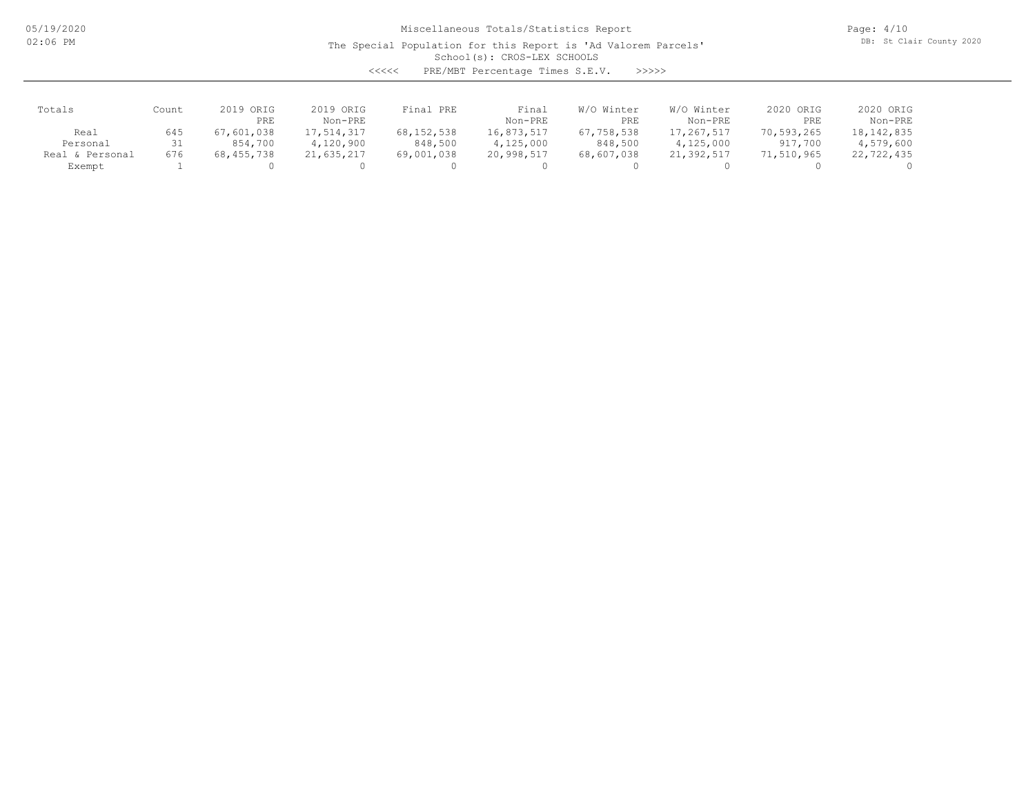The Special Population for this Report is 'Ad Valorem Parcels'

Page: 4/10 DB: St Clair County 2020

# School(s): CROS-LEX SCHOOLS

<<<<< PRE/MBT Percentage Times S.E.V. >>>>>

| Totals             | Count | 2019 ORIG<br>PRE | 2019 ORIG<br>Non-PRE | Final PRE  | Final<br>Non-PRE | Winter<br>W/O<br>PRE | W/O Winter<br>Non-PRE | 2020 ORIG<br>PRE | 2020 ORIG<br>Non-PRE |
|--------------------|-------|------------------|----------------------|------------|------------------|----------------------|-----------------------|------------------|----------------------|
| Real               | 645   | 67,601,038       | 17,514,317           | 68,152,538 | 16,873,517       | 67,758,538           | 17,267,517            | 70,593,265       | 18, 142, 835         |
| Personal           | 31    | 854,700          | 4,120,900            | 848,500    | 4,125,000        | 848,500              | 4,125,000             | 917,700          | 4,579,600            |
| & Personal<br>Real | 676   | 68,455,738       | 21,635,217           | 69,001,038 | 20,998,517       | 68,607,038           | 21,392,517            | 71,510,965       | 22,722,435           |
| Exempt             |       |                  |                      |            |                  |                      |                       |                  |                      |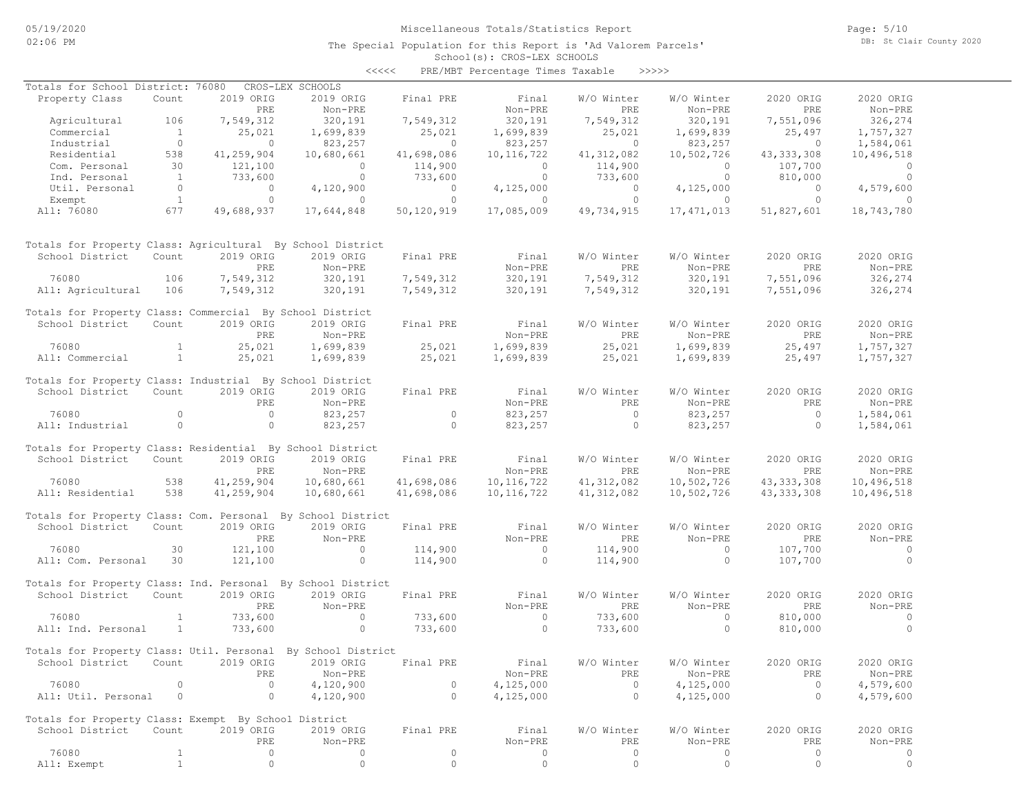The Special Population for this Report is 'Ad Valorem Parcels'

Page: 5/10 DB: St Clair County 2020

#### School(s): CROS-LEX SCHOOLS <<<<< PRE/MBT Percentage Times Taxable >>>>>

| Totals for School District: 76080                            |                |            | CROS-LEX SCHOOLS                    |            |                |                  |                |                |                |
|--------------------------------------------------------------|----------------|------------|-------------------------------------|------------|----------------|------------------|----------------|----------------|----------------|
| Property Class                                               | Count          | 2019 ORIG  | 2019 ORIG                           | Final PRE  | Final          | W/O Winter       | W/O Winter     | 2020 ORIG      | 2020 ORIG      |
|                                                              |                | PRE        | Non-PRE                             |            | Non-PRE        | PRE              | Non-PRE        | PRE            | Non-PRE        |
| Agricultural                                                 | 106            | 7,549,312  | 320,191                             | 7,549,312  | 320,191        | 7,549,312        | 320,191        | 7,551,096      | 326,274        |
| Commercial                                                   | $\overline{1}$ | 25,021     | 1,699,839                           | 25,021     | 1,699,839      | 25,021           | 1,699,839      | 25,497         | 1,757,327      |
| Industrial                                                   | $\circ$        | $\sim$ 0   | 823,257                             | $\sim$ 0   | 823,257        | $\circ$          | 823,257        | $\overline{0}$ | 1,584,061      |
| Residential                                                  | 538            | 41,259,904 | 10,680,661                          | 41,698,086 | 10, 116, 722   | 41, 312, 082     | 10,502,726     | 43, 333, 308   | 10,496,518     |
| Com. Personal                                                | 30             | 121,100    | $\overline{0}$                      | 114,900    | $\circ$        | 114,900          | $\overline{0}$ | 107,700        | $\overline{0}$ |
| Ind. Personal                                                | $\overline{1}$ | 733,600    | $\circ$                             | 733,600    | $\circ$        | 733,600          | $\circ$        | 810,000        | $\overline{0}$ |
| Util. Personal                                               | $\overline{0}$ | $\circ$    | 4,120,900                           | $\Omega$   | 4,125,000      | $\circ$          | 4,125,000      | $\Omega$       | 4,579,600      |
| Exempt                                                       | $\overline{1}$ | $\circ$    | $\circ$                             | $\circ$    | $\circ$        | $\circ$          | $\circ$        | $\circ$        | $\Omega$       |
| All: 76080                                                   | 677            | 49,688,937 | 17,644,848                          | 50,120,919 | 17,085,009     | 49,734,915       | 17, 471, 013   | 51,827,601     | 18,743,780     |
| Totals for Property Class: Agricultural By School District   |                |            |                                     |            |                |                  |                |                |                |
| School District                                              | Count          | 2019 ORIG  | 2019 ORIG                           | Final PRE  | Final          | W/O Winter       | W/O Winter     | 2020 ORIG      | 2020 ORIG      |
|                                                              |                | PRE        | Non-PRE                             |            | Non-PRE        | PRE              | Non-PRE        | PRE            | Non-PRE        |
| 76080                                                        | 106            | 7,549,312  | 320,191                             | 7,549,312  | 320,191        | 7,549,312        | 320,191        | 7,551,096      | 326,274        |
| All: Agricultural                                            | 106            | 7,549,312  | 320,191                             | 7,549,312  | 320,191        | 7,549,312        | 320,191        | 7,551,096      | 326,274        |
|                                                              |                |            |                                     |            |                |                  |                |                |                |
| Totals for Property Class: Commercial By School District     |                |            |                                     |            |                |                  |                |                |                |
| School District                                              | Count          | 2019 ORIG  | 2019 ORIG                           | Final PRE  | Final          | W/O Winter       | W/O Winter     | 2020 ORIG      | 2020 ORIG      |
|                                                              |                | PRE        | Non-PRE                             |            | Non-PRE        | PRE              | Non-PRE        | PRE            | Non-PRE        |
| 76080                                                        | $\mathbf{1}$   | 25,021     | 1,699,839                           | 25,021     | 1,699,839      | 25,021           | 1,699,839      | 25,497         | 1,757,327      |
| All: Commercial                                              | 1              | 25,021     | 1,699,839                           | 25,021     | 1,699,839      | 25,021           | 1,699,839      | 25,497         | 1,757,327      |
|                                                              |                |            |                                     |            |                |                  |                |                |                |
| Totals for Property Class: Industrial By School District     |                |            |                                     |            |                |                  |                |                |                |
| School District                                              | Count          | 2019 ORIG  | 2019 ORIG                           | Final PRE  | Final          | W/O Winter       | W/O Winter     | 2020 ORIG      | 2020 ORIG      |
|                                                              |                | PRE        | Non-PRE                             |            | Non-PRE        | PRE              | Non-PRE        | PRE            | Non-PRE        |
| 76080                                                        | $\circ$        | $\circ$    | 823,257                             | $\circ$    | 823,257        | $\circ$          | 823,257        | $\overline{0}$ | 1,584,061      |
| All: Industrial                                              | $\circ$        | $\circ$    |                                     | $\circ$    |                | $\circ$          | 823,257        | $\Omega$       |                |
|                                                              |                |            | 823,257                             |            | 823,257        |                  |                |                | 1,584,061      |
| Totals for Property Class: Residential By School District    |                |            |                                     |            |                |                  |                |                |                |
| School District                                              | Count          | 2019 ORIG  | 2019 ORIG                           | Final PRE  | Final          | W/O Winter       | W/O Winter     | 2020 ORIG      | 2020 ORIG      |
|                                                              |                |            |                                     |            |                | <b>PRE</b>       |                | PRE            |                |
|                                                              |                | PRE        | Non-PRE                             |            | Non-PRE        |                  | $Non-PRE$      |                | Non-PRE        |
| 76080                                                        | 538            | 41,259,904 | 10,680,661                          | 41,698,086 | 10, 116, 722   | 41, 312, 082     | 10,502,726     | 43, 333, 308   | 10,496,518     |
| All: Residential                                             | 538            | 41,259,904 | 10,680,661                          | 41,698,086 | 10, 116, 722   | 41, 312, 082     | 10,502,726     | 43, 333, 308   | 10,496,518     |
|                                                              |                |            |                                     |            |                |                  |                |                |                |
| Totals for Property Class: Com. Personal By School District  |                |            |                                     |            |                |                  |                |                |                |
| School District                                              | Count          | 2019 ORIG  | 2019 ORIG                           | Final PRE  | Final          | W/O Winter       | W/O Winter     | 2020 ORIG      | 2020 ORIG      |
|                                                              |                | <b>PRE</b> | Non-PRE                             |            | Non-PRE        | PRE              | Non-PRE        | <b>PRE</b>     | Non-PRE        |
| 76080                                                        | 30             | 121,100    | $\circ$                             | 114,900    | $\circ$        | 114,900          | $\circ$        | 107,700        | $\overline{0}$ |
| All: Com. Personal                                           | 30             | 121,100    | $\circ$                             | 114,900    | $\circ$        | 114,900          | $\circ$        | 107,700        | $\Omega$       |
|                                                              |                |            |                                     |            |                |                  |                |                |                |
| Totals for Property Class: Ind. Personal By School District  |                |            |                                     |            |                |                  |                |                |                |
| School District                                              | Count          | 2019 ORIG  | 2019 ORIG                           | Final PRE  | Final          | W/O Winter       | W/O Winter     | 2020 ORIG      | 2020 ORIG      |
|                                                              |                | PRE        | Non-PRE                             |            | Non-PRE        | PRE              | Non-PRE        | PRE            | Non-PRE        |
| 76080                                                        | $\mathbf{1}$   | 733,600    | $\circ$                             | 733,600    | $\overline{0}$ | 733,600          | $\circ$        | 810,000        | $\overline{0}$ |
| All: Ind. Personal                                           | $\mathbf{1}$   | 733,600    | $\circ$                             | 733,600    | $\overline{0}$ | 733,600          | $\circ$        | 810,000        | $\Omega$       |
|                                                              |                |            |                                     |            |                |                  |                |                |                |
| Totals for Property Class: Util. Personal By School District |                |            |                                     |            |                |                  |                |                |                |
| School District                                              |                |            | Count 2019 ORIG 2019 ORIG Final PRE |            |                | Final W/O Winter | W/O Winter     | 2020 ORIG      | 2020 ORIG      |
|                                                              |                | PRE        | Non-PRE                             |            | Non-PRE        | PRE              | Non-PRE        | PRE            | Non-PRE        |
| 76080                                                        | 0              | $\circ$    | 4,120,900                           | $\circ$    | 4,125,000      | 0                | 4,125,000      | 0              | 4,579,600      |
| All: Util. Personal                                          | 0              | $\circ$    | 4,120,900                           | $\circ$    | 4,125,000      | $\circ$          | 4,125,000      | $\circ$        | 4,579,600      |
|                                                              |                |            |                                     |            |                |                  |                |                |                |
| Totals for Property Class: Exempt By School District         |                |            |                                     |            |                |                  |                |                |                |
| School District                                              | Count          | 2019 ORIG  | 2019 ORIG                           | Final PRE  | Final          | W/O Winter       | W/O Winter     | 2020 ORIG      | 2020 ORIG      |
|                                                              |                | PRE        | Non-PRE                             |            | Non-PRE        | PRE              | Non-PRE        | PRE            | Non-PRE        |
| 76080                                                        | $\mathbf{1}$   | 0          | 0                                   | 0          | 0              | 0                | 0              | 0              | 0              |
| All: Exempt                                                  | $\mathbf{1}$   | $\circ$    | $\circ$                             | 0          | $\circ$        | 0                | $\circ$        | $\mathbb O$    | $\circ$        |
|                                                              |                |            |                                     |            |                |                  |                |                |                |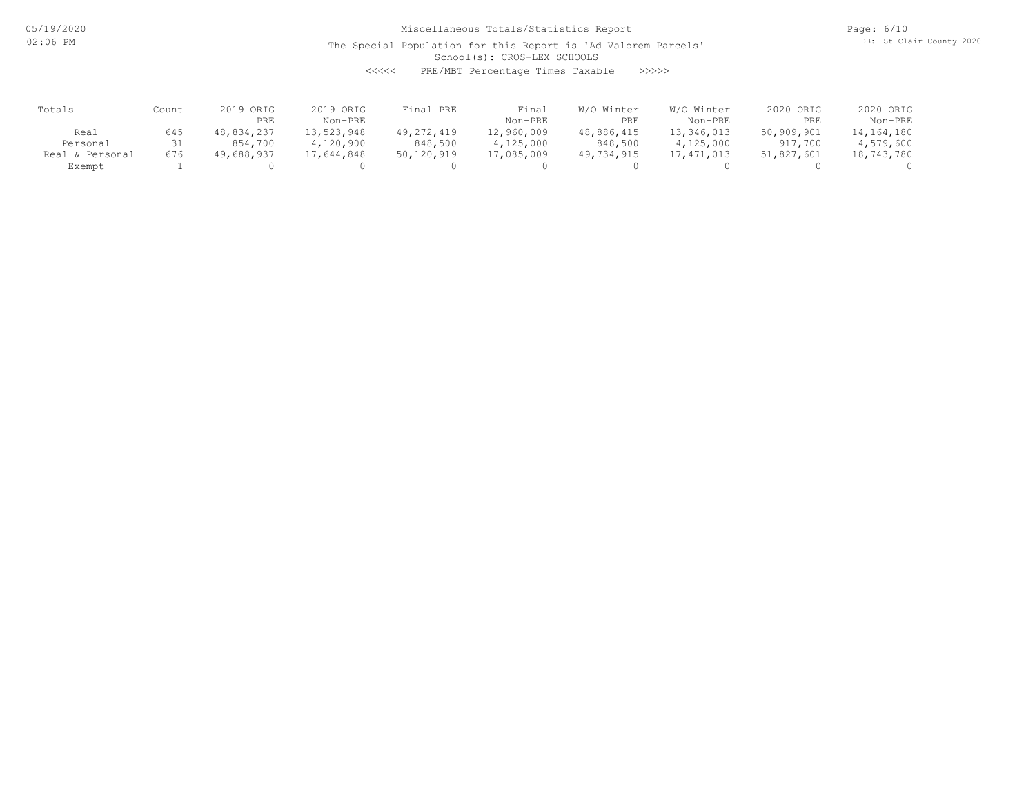The Special Population for this Report is 'Ad Valorem Parcels'

Page: 6/10 DB: St Clair County 2020

# School(s): CROS-LEX SCHOOLS

| くくくくく | PRE/MBT Percentage Times Taxable |  |  | >>>>> |
|-------|----------------------------------|--|--|-------|
|-------|----------------------------------|--|--|-------|

| Totals             | Count | 2019 ORIG<br>PRE | 2019 ORIG<br>Non-PRE | Final PRE    | Final<br>Non-PRE | Winter<br>W/O<br>PRE | W/O Winter<br>Non-PRE | 2020 ORIG<br>PRE | 2020 ORIG<br>Non-PRE |
|--------------------|-------|------------------|----------------------|--------------|------------------|----------------------|-----------------------|------------------|----------------------|
| Real               | 645   | 48,834,237       | 13,523,948           | 49, 272, 419 | 12,960,009       | 48,886,415           | 13,346,013            | 50,909,901       | 14,164,180           |
| Personal           | 31    | 854,700          | 4,120,900            | 848,500      | 4,125,000        | 848,500              | 4,125,000             | 917,700          | 4,579,600            |
| & Personal<br>Real | 676   | 49,688,937       | 17,644,848           | 50,120,919   | 17,085,009       | 49,734,915           | 17, 471, 013          | 51,827,601       | 18,743,780           |
| Exempt             |       |                  |                      |              |                  |                      |                       |                  |                      |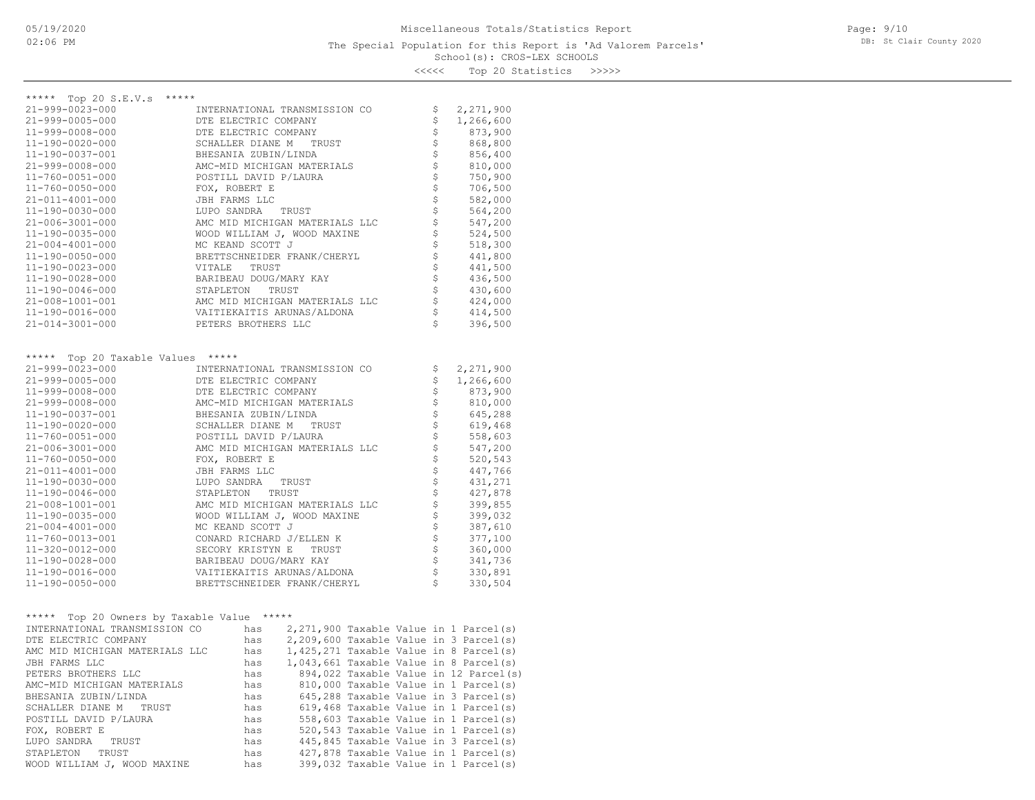<<<<< Top 20 Statistics >>>>>

| ***** Top 20 S.E.V.s<br>*****                              |                                                                                     |               |  |  |                    |                                          |
|------------------------------------------------------------|-------------------------------------------------------------------------------------|---------------|--|--|--------------------|------------------------------------------|
| 21-999-0023-000                                            | INTERNATIONAL TRANSMISSION CO                                                       |               |  |  | \$<br>\$           | 2,271,900                                |
| $21 - 999 - 0005 - 000$                                    | DTE ELECTRIC COMPANY                                                                |               |  |  |                    | 1,266,600                                |
| 11-999-0008-000                                            | DTE ELECTRIC COMPANY                                                                |               |  |  | \$                 | 873,900                                  |
| 11-190-0020-000                                            | SCHALLER DIANE M                                                                    | TRUST         |  |  | \$                 | 868,800                                  |
| 11-190-0037-001                                            | BHESANIA ZUBIN/LINDA                                                                |               |  |  |                    | 856,400                                  |
| 21-999-0008-000                                            | AMC-MID MICHIGAN MATERIALS                                                          |               |  |  | \$\$\$             | 810,000                                  |
| $11 - 760 - 0051 - 000$                                    | POSTILL DAVID P/LAURA                                                               |               |  |  |                    | 750,900                                  |
| 11-760-0050-000                                            | FOX, ROBERT E                                                                       |               |  |  | \$                 | 706,500                                  |
| 21-011-4001-000<br>11-190-0030-000                         | JBH FARMS LLC                                                                       |               |  |  | \$<br>\$           | 582,000                                  |
|                                                            | LUPO SANDRA                                                                         | TRUST         |  |  | \$                 | 564,200                                  |
| $21 - 006 - 3001 - 000$<br>$11 - 190 - 0035 - 000$         | AMC MID MICHIGAN MATERIALS LLC                                                      |               |  |  |                    | 547,200                                  |
| $21 - 004 - 4001 - 000$                                    | WOOD WILLIAM J, WOOD MAXINE<br>MC KEAND SCOTT J                                     |               |  |  | \$                 | 524,500                                  |
|                                                            | BRETTSCHNEIDER FRANK/CHERYL                                                         |               |  |  | \$                 | 518,300<br>441,800                       |
| 11-190-0050-000<br>$11 - 190 - 0023 - 000$                 | VITALE<br>TRUST                                                                     |               |  |  | \$\$\$\$\$         | 441,500                                  |
| 11-190-0028-000                                            | BARIBEAU DOUG/MARY KAY                                                              |               |  |  |                    | 436,500                                  |
| 11-190-0046-000                                            | STAPLETON                                                                           | TRUST         |  |  |                    | 430,600                                  |
| 21-008-1001-001                                            | AMC MID MICHIGAN MATERIALS LLC                                                      |               |  |  | \$                 | 424,000                                  |
| 11-190-0016-000                                            | VAITIEKAITIS ARUNAS/ALDONA                                                          |               |  |  | \$                 | 414,500                                  |
| 21-014-3001-000                                            | PETERS BROTHERS LLC                                                                 |               |  |  | Ś                  | 396,500                                  |
|                                                            |                                                                                     |               |  |  |                    |                                          |
|                                                            |                                                                                     |               |  |  |                    |                                          |
| Top 20 Taxable Values *****<br>$\star\star\star\star\star$ |                                                                                     |               |  |  |                    |                                          |
| 21-999-0023-000                                            | INTERNATIONAL TRANSMISSION CO                                                       |               |  |  | \$                 | 2,271,900                                |
| 21-999-0005-000                                            | DTE ELECTRIC COMPANY                                                                |               |  |  | \$                 | 1,266,600                                |
| 11-999-0008-000                                            | DTE ELECTRIC COMPANY                                                                |               |  |  |                    | 873,900                                  |
| 21-999-0008-000                                            | AMC-MID MICHIGAN MATERIALS                                                          |               |  |  | ななな                | 810,000                                  |
| 11-190-0037-001                                            | BHESANIA ZUBIN/LINDA                                                                |               |  |  |                    | 645,288                                  |
| 11-190-0020-000                                            | SCHALLER DIANE M                                                                    | TRUST         |  |  |                    | 619,468                                  |
| 11-760-0051-000                                            | POSTILL DAVID P/LAURA                                                               |               |  |  | \$\$\$\$\$\$\$\$\$ | 558,603                                  |
| 21-006-3001-000                                            | AMC MID MICHIGAN MATERIALS LLC                                                      |               |  |  |                    | 547,200                                  |
| $11 - 760 - 0050 - 000$                                    | FOX, ROBERT E                                                                       |               |  |  |                    | 520,543                                  |
| 21-011-4001-000                                            | JBH FARMS LLC                                                                       |               |  |  |                    | 447,766                                  |
| 11-190-0030-000                                            | LUPO SANDRA                                                                         | TRUST         |  |  |                    | 431,271                                  |
| 11-190-0046-000                                            | STAPLETON                                                                           | TRUST         |  |  |                    | 427,878                                  |
| 21-008-1001-001                                            | AMC MID MICHIGAN MATERIALS LLC                                                      |               |  |  | \$                 | 399,855                                  |
| 11-190-0035-000                                            | WOOD WILLIAM J, WOOD MAXINE                                                         |               |  |  | \$                 | 399,032                                  |
| $21 - 004 - 4001 - 000$                                    | MC KEAND SCOTT J                                                                    |               |  |  | \$                 | 387,610                                  |
| 11-760-0013-001                                            | CONARD RICHARD J/ELLEN K                                                            |               |  |  |                    | 377,100                                  |
| 11-320-0012-000<br>11-190-0028-000                         | SECORY KRISTYN E<br>BARIBEAU DOUG/MARY KAY                                          | TRUST         |  |  | \$\$\$             | 360,000<br>341,736                       |
| 11-190-0016-000                                            | VAITIEKAITIS ARUNAS/ALDONA                                                          |               |  |  | \$                 | 330,891                                  |
| 11-190-0050-000                                            | BRETTSCHNEIDER FRANK/CHERYL                                                         |               |  |  | Ś                  | 330,504                                  |
|                                                            |                                                                                     |               |  |  |                    |                                          |
|                                                            |                                                                                     |               |  |  |                    |                                          |
| Top 20 Owners by Taxable Value<br>*****                    |                                                                                     | $***$ * * * * |  |  |                    |                                          |
| INTERNATIONAL TRANSMISSION CO                              | has                                                                                 |               |  |  |                    | $2,271,900$ Taxable Value in 1 Parcel(s) |
| DTE ELECTRIC COMPANY                                       | has                                                                                 |               |  |  |                    | 2,209,600 Taxable Value in 3 Parcel(s)   |
| AMC MID MICHIGAN MATERIALS LLC                             | has                                                                                 |               |  |  |                    | 1,425,271 Taxable Value in 8 Parcel(s)   |
| JBH FARMS LLC                                              | has                                                                                 |               |  |  |                    | 1,043,661 Taxable Value in 8 Parcel(s)   |
| PETERS BROTHERS LLC                                        | has                                                                                 |               |  |  |                    | 894,022 Taxable Value in 12 Parcel(s)    |
| AMC-MID MICHIGAN MATERIALS                                 | 810,000 Taxable Value in 1 Parcel(s)<br>has<br>645,288 Taxable Value in 3 Parcel(s) |               |  |  |                    |                                          |
| BHESANIA ZUBIN/LINDA<br>SCHALLER DIANE M<br>TRUST          | has                                                                                 |               |  |  |                    |                                          |
| POSTILL DAVID P/LAURA                                      | 619,468 Taxable Value in 1 Parcel(s)<br>has<br>558,603 Taxable Value in 1 Parcel(s) |               |  |  |                    |                                          |
| FOX, ROBERT E                                              | has<br>has                                                                          |               |  |  |                    | 520,543 Taxable Value in 1 Parcel(s)     |
| LUPO SANDRA<br>TRUST                                       | has                                                                                 |               |  |  |                    | 445,845 Taxable Value in 3 Parcel(s)     |
| STAPLETON<br>TRUST                                         | has                                                                                 |               |  |  |                    | 427,878 Taxable Value in 1 Parcel(s)     |
| WOOD WILLIAM J, WOOD MAXINE                                | has                                                                                 |               |  |  |                    | 399,032 Taxable Value in 1 Parcel(s)     |
|                                                            |                                                                                     |               |  |  |                    |                                          |